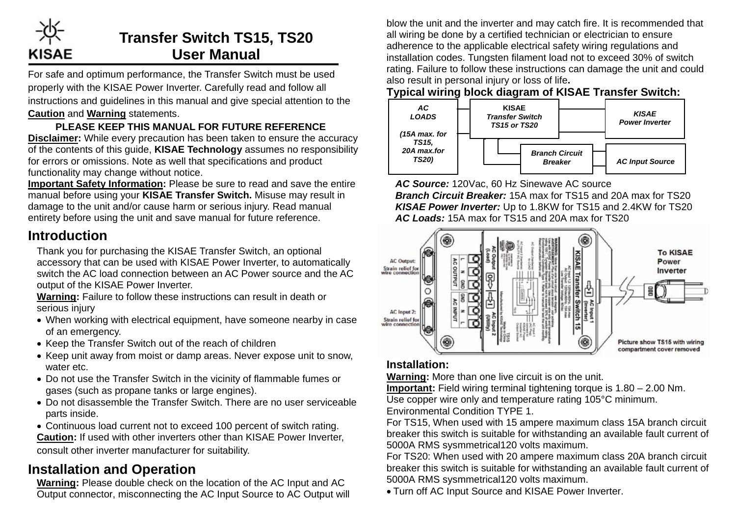

# **Transfer Switch TS15, TS20 User Manual**

For safe and optimum performance, the Transfer Switch must be used properly with the KISAE Power Inverter. Carefully read and follow all instructions and guidelines in this manual and give special attention to the **Caution** and **Warning** statements.

### **PLEASE KEEP THIS MANUAL FOR FUTURE REFERENCE**

**Disclaimer:** While every precaution has been taken to ensure the accuracy of the contents of this guide, **KISAE Technology** assumes no responsibility for errors or omissions. Note as well that specifications and product functionality may change without notice.

**Important Safety Information:** Please be sure to read and save the entire manual before using your **KISAE Transfer Switch.** Misuse may result in damage to the unit and/or cause harm or serious injury. Read manual entirety before using the unit and save manual for future reference.

### **Introduction**

Thank you for purchasing the KISAE Transfer Switch, an optional accessory that can be used with KISAE Power Inverter, to automatically switch the AC load connection between an AC Power source and the AC output of the KISAE Power Inverter.

**Warning:** Failure to follow these instructions can result in death or serious injury

- When working with electrical equipment, have someone nearby in case of an emergency.
- Keep the Transfer Switch out of the reach of children
- Keep unit away from moist or damp areas. Never expose unit to snow, water etc.
- Do not use the Transfer Switch in the vicinity of flammable fumes or gases (such as propane tanks or large engines).
- Do not disassemble the Transfer Switch. There are no user serviceable parts inside.
- Continuous load current not to exceed 100 percent of switch rating. **Caution:** If used with other inverters other than KISAE Power Inverter, consult other inverter manufacturer for suitability.

# **Installation and Operation**

**Warning:** Please double check on the location of the AC Input and AC Output connector, misconnecting the AC Input Source to AC Output will blow the unit and the inverter and may catch fire. It is recommended that all wiring be done by a certified technician or electrician to ensure adherence to the applicable electrical safety wiring regulations and installation codes. Tungsten filament load not to exceed 30% of switch rating. Failure to follow these instructions can damage the unit and could also result in personal injury or loss of life**.** 

#### **Typical wiring block diagram of KISAE Transfer Switch:**



*AC Source:* 120Vac, 60 Hz Sinewave AC source *Branch Circuit Breaker:* 15A max for TS15 and 20A max for TS20 *KISAE Power Inverter:* Up to 1.8KW for TS15 and 2.4KW for TS20 *AC Loads:* 15A max for TS15 and 20A max for TS20



#### **Installation:**

**Warning:** More than one live circuit is on the unit.

**Important:** Field wiring terminal tightening torque is 1.80 – 2.00 Nm. Use copper wire only and temperature rating 105°C minimum. Environmental Condition TYPE 1.

For TS15, When used with 15 ampere maximum class 15A branch circuit breaker this switch is suitable for withstanding an available fault current of 5000A RMS sysmmetrical120 volts maximum.

For TS20: When used with 20 ampere maximum class 20A branch circuit breaker this switch is suitable for withstanding an available fault current of 5000A RMS sysmmetrical120 volts maximum.

• Turn off AC Input Source and KISAE Power Inverter.